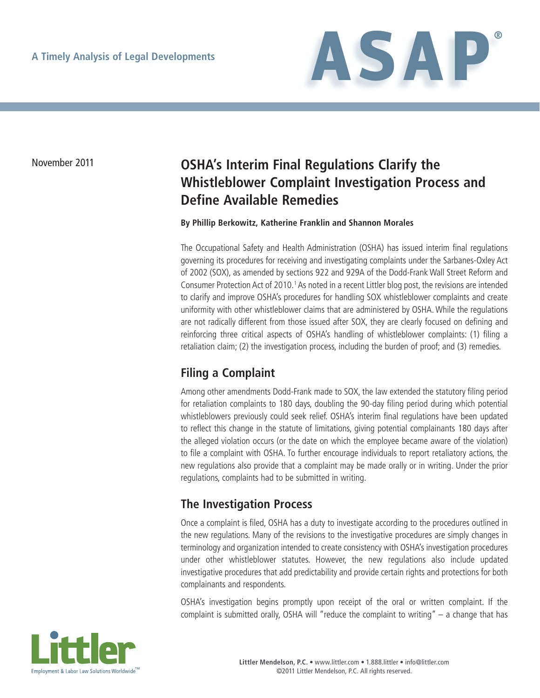

# November 2011 **OSHA's Interim Final Regulations Clarify the Whistleblower Complaint Investigation Process and Define Available Remedies**

#### **By Phillip Berkowitz, Katherine Franklin and Shannon Morales**

The Occupational Safety and Health Administration (OSHA) has issued interim final regulations governing its procedures for receiving and investigating complaints under the Sarbanes-Oxley Act of 2002 (SOX), as amended by sections 922 and 929A of the Dodd-Frank Wall Street Reform and Consumer Protection Act of 2010.<sup>1</sup> As noted in a recent Littler blog post, the revisions are intended to clarify and improve OSHA's procedures for handling SOX whistleblower complaints and create uniformity with other whistleblower claims that are administered by OSHA. While the regulations are not radically different from those issued after SOX, they are clearly focused on defining and reinforcing three critical aspects of OSHA's handling of whistleblower complaints: (1) filing a retaliation claim; (2) the investigation process, including the burden of proof; and (3) remedies.

# **Filing a Complaint**

Among other amendments Dodd-Frank made to SOX, the law extended the statutory filing period for retaliation complaints to 180 days, doubling the 90-day filing period during which potential whistleblowers previously could seek relief. OSHA's interim final regulations have been updated to reflect this change in the statute of limitations, giving potential complainants 180 days after the alleged violation occurs (or the date on which the employee became aware of the violation) to file a complaint with OSHA. To further encourage individuals to report retaliatory actions, the new regulations also provide that a complaint may be made orally or in writing. Under the prior regulations, complaints had to be submitted in writing.

# **The Investigation Process**

Once a complaint is filed, OSHA has a duty to investigate according to the procedures outlined in the new regulations. Many of the revisions to the investigative procedures are simply changes in terminology and organization intended to create consistency with OSHA's investigation procedures under other whistleblower statutes. However, the new regulations also include updated investigative procedures that add predictability and provide certain rights and protections for both complainants and respondents.

OSHA's investigation begins promptly upon receipt of the oral or written complaint. If the complaint is submitted orally, OSHA will "reduce the complaint to writing" – a change that has

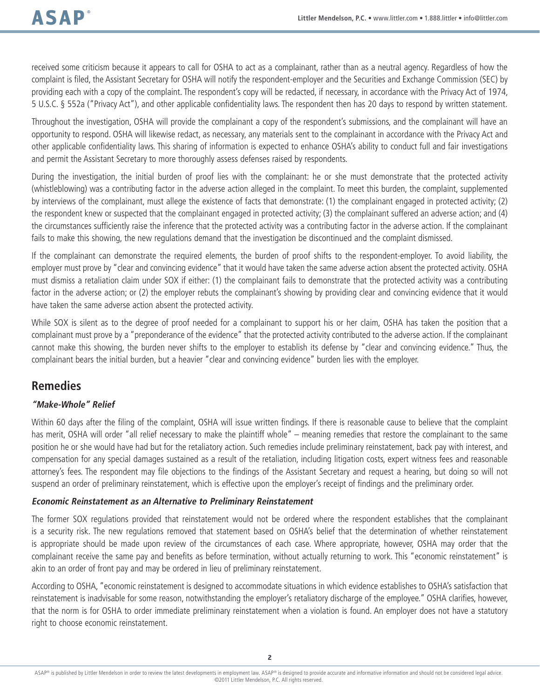received some criticism because it appears to call for OSHA to act as a complainant, rather than as a neutral agency. Regardless of how the complaint is filed, the Assistant Secretary for OSHA will notify the respondent-employer and the Securities and Exchange Commission (SEC) by providing each with a copy of the complaint. The respondent's copy will be redacted, if necessary, in accordance with the Privacy Act of 1974, 5 U.S.C. § 552a ("Privacy Act"), and other applicable confidentiality laws. The respondent then has 20 days to respond by written statement.

Throughout the investigation, OSHA will provide the complainant a copy of the respondent's submissions, and the complainant will have an opportunity to respond. OSHA will likewise redact, as necessary, any materials sent to the complainant in accordance with the Privacy Act and other applicable confidentiality laws. This sharing of information is expected to enhance OSHA's ability to conduct full and fair investigations and permit the Assistant Secretary to more thoroughly assess defenses raised by respondents.

During the investigation, the initial burden of proof lies with the complainant: he or she must demonstrate that the protected activity (whistleblowing) was a contributing factor in the adverse action alleged in the complaint. To meet this burden, the complaint, supplemented by interviews of the complainant, must allege the existence of facts that demonstrate: (1) the complainant engaged in protected activity; (2) the respondent knew or suspected that the complainant engaged in protected activity; (3) the complainant suffered an adverse action; and (4) the circumstances sufficiently raise the inference that the protected activity was a contributing factor in the adverse action. If the complainant fails to make this showing, the new regulations demand that the investigation be discontinued and the complaint dismissed.

If the complainant can demonstrate the required elements, the burden of proof shifts to the respondent-employer. To avoid liability, the employer must prove by "clear and convincing evidence" that it would have taken the same adverse action absent the protected activity. OSHA must dismiss a retaliation claim under SOX if either: (1) the complainant fails to demonstrate that the protected activity was a contributing factor in the adverse action; or (2) the employer rebuts the complainant's showing by providing clear and convincing evidence that it would have taken the same adverse action absent the protected activity.

While SOX is silent as to the degree of proof needed for a complainant to support his or her claim, OSHA has taken the position that a complainant must prove by a "preponderance of the evidence" that the protected activity contributed to the adverse action. If the complainant cannot make this showing, the burden never shifts to the employer to establish its defense by "clear and convincing evidence." Thus, the complainant bears the initial burden, but a heavier "clear and convincing evidence" burden lies with the employer.

### **Remedies**

### **"Make-Whole" Relief**

Within 60 days after the filing of the complaint, OSHA will issue written findings. If there is reasonable cause to believe that the complaint has merit, OSHA will order "all relief necessary to make the plaintiff whole" – meaning remedies that restore the complainant to the same position he or she would have had but for the retaliatory action. Such remedies include preliminary reinstatement, back pay with interest, and compensation for any special damages sustained as a result of the retaliation, including litigation costs, expert witness fees and reasonable attorney's fees. The respondent may file objections to the findings of the Assistant Secretary and request a hearing, but doing so will not suspend an order of preliminary reinstatement, which is effective upon the employer's receipt of findings and the preliminary order.

### **Economic Reinstatement as an Alternative to Preliminary Reinstatement**

The former SOX regulations provided that reinstatement would not be ordered where the respondent establishes that the complainant is a security risk. The new regulations removed that statement based on OSHA's belief that the determination of whether reinstatement is appropriate should be made upon review of the circumstances of each case. Where appropriate, however, OSHA may order that the complainant receive the same pay and benefits as before termination, without actually returning to work. This "economic reinstatement" is akin to an order of front pay and may be ordered in lieu of preliminary reinstatement.

According to OSHA, "economic reinstatement is designed to accommodate situations in which evidence establishes to OSHA's satisfaction that reinstatement is inadvisable for some reason, notwithstanding the employer's retaliatory discharge of the employee." OSHA clarifies, however, that the norm is for OSHA to order immediate preliminary reinstatement when a violation is found. An employer does not have a statutory right to choose economic reinstatement.